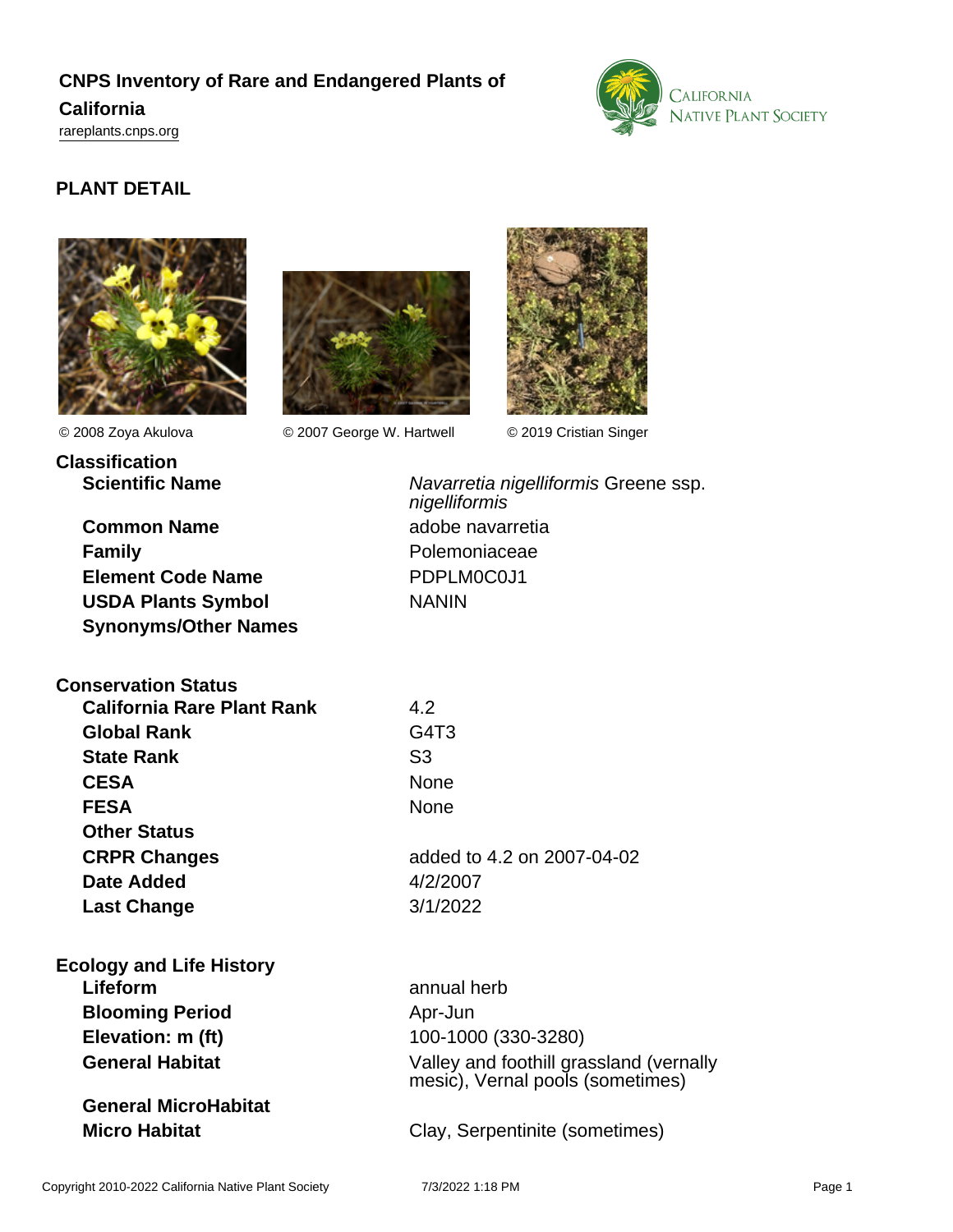## **CNPS Inventory of Rare and Endangered Plants of California**

<rareplants.cnps.org>



## **PLANT DETAIL**





**Classification**

© 2008 Zoya Akulova © 2007 George W. Hartwell © 2019 Cristian Singer



**Synonyms/Other Names**

**Common Name** adobe navarretia **Family** Polemoniaceae **Element Code Name** PDPLM0C0J1 USDA Plants Symbol NANIN

Scientific Name<br>
Navarretia nigelliformis Greene ssp. nigelliformis

| <b>Conservation Status</b>        |                               |
|-----------------------------------|-------------------------------|
| <b>California Rare Plant Rank</b> | 4.2                           |
| <b>Global Rank</b>                | G <sub>4</sub> T <sub>3</sub> |
| <b>State Rank</b>                 | S3                            |
| <b>CESA</b>                       | None                          |
| <b>FESA</b>                       | None                          |
| <b>Other Status</b>               |                               |
| <b>CRPR Changes</b>               | added to 4.2 on 2007-04-02    |
| Date Added                        | 4/2/2007                      |
| <b>Last Change</b>                | 3/1/2022                      |
|                                   |                               |

| added to 4.2 on 2007-04-02 |  |
|----------------------------|--|
| 4/2/2007                   |  |
| 3/1/2022                   |  |
|                            |  |
|                            |  |
| annual harh                |  |

| <b>Ecology and Life History</b> |                                                                             |
|---------------------------------|-----------------------------------------------------------------------------|
| Lifeform                        | annual herb                                                                 |
| <b>Blooming Period</b>          | Apr-Jun                                                                     |
| Elevation: m (ft)               | 100-1000 (330-3280)                                                         |
| <b>General Habitat</b>          | Valley and foothill grassland (vernally<br>mesic), Vernal pools (sometimes) |
| <b>General MicroHabitat</b>     |                                                                             |
| <b>Micro Habitat</b>            | Clay, Serpentinite (sometimes)                                              |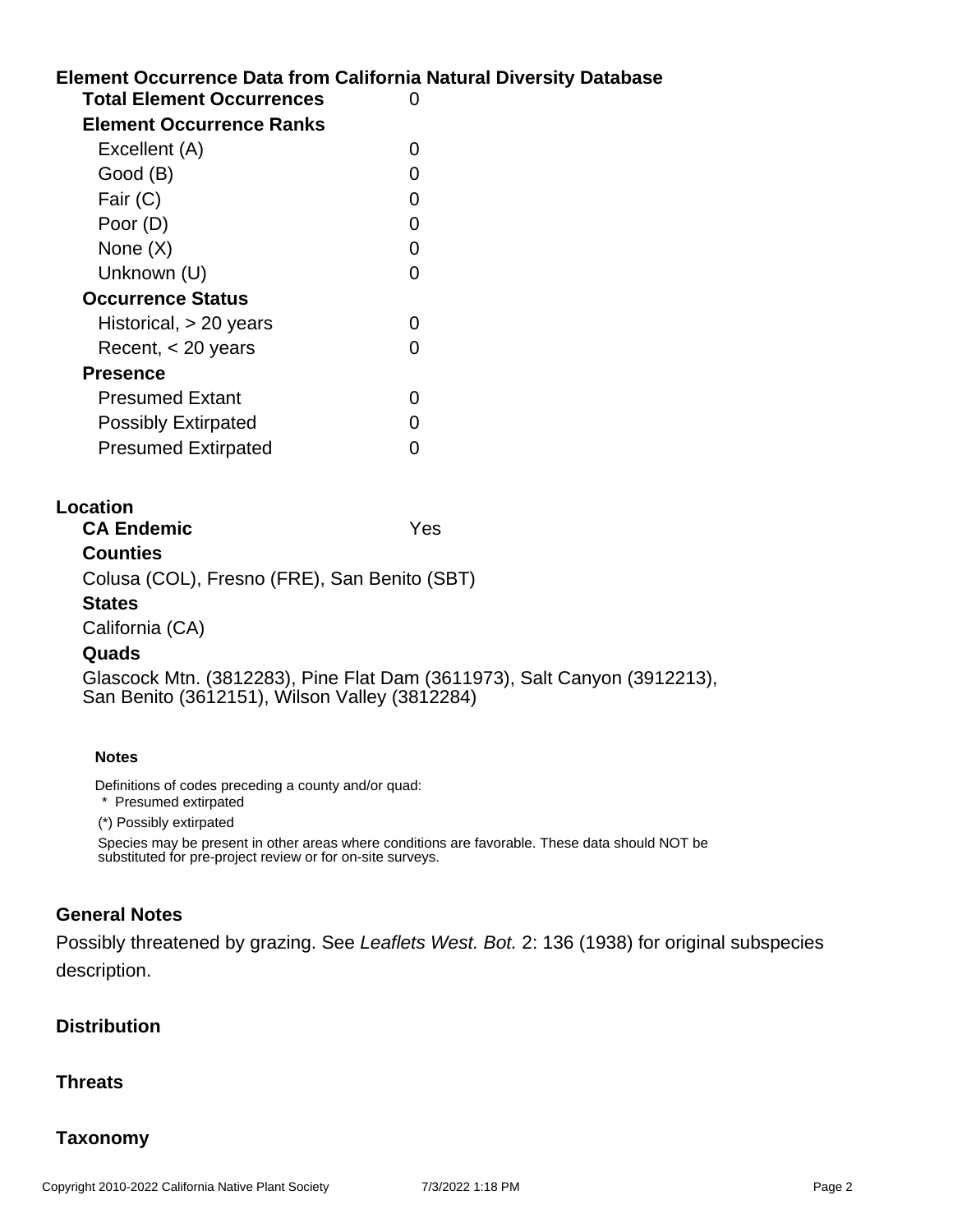# **Element Occurrence Data from California Natural Diversity Database Location Total Element Occurrences** 0 **Element Occurrence Ranks** Excellent (A) 0 Good (B) and the contract of the contract of the contract of the contract of the contract of the contract of the contract of the contract of the contract of the contract of the contract of the contract of the contract of t Fair (C) 0 Poor (D) 0 None  $(X)$  0 Unknown (U) 0 **Occurrence Status** Historical, > 20 years 0  $Recent,  $< 20$  years 0$ **Presence** Presumed Extant 0 Possibly Extirpated 0 Presumed Extirpated 0 **CA Endemic** Yes **Counties** Colusa (COL), Fresno (FRE), San Benito (SBT) **States** California (CA) **Quads**

Glascock Mtn. (3812283), Pine Flat Dam (3611973), Salt Canyon (3912213), San Benito (3612151), Wilson Valley (3812284)

#### **Notes**

Definitions of codes preceding a county and/or quad:

\* Presumed extirpated

(\*) Possibly extirpated

Species may be present in other areas where conditions are favorable. These data should NOT be substituted for pre-project review or for on-site surveys.

### **General Notes**

Possibly threatened by grazing. See Leaflets West. Bot. 2: 136 (1938) for original subspecies description.

### **Distribution**

### **Threats**

## **Taxonomy**